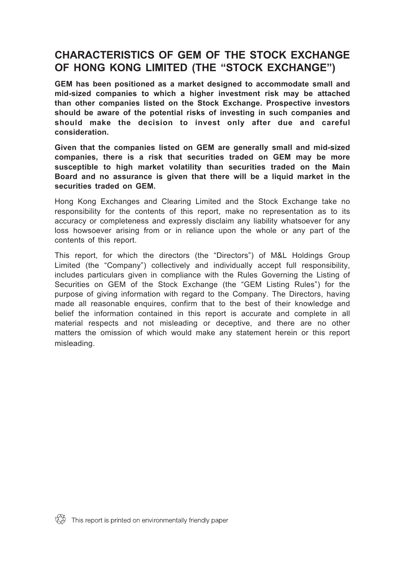# **CHARACTERISTICS OF GEM OF THE STOCK EXCHANGE OF HONG KONG LIMITED (THE "STOCK EXCHANGE")**

**GEM has been positioned as a market designed to accommodate small and mid-sized companies to which a higher investment risk may be attached than other companies listed on the Stock Exchange. Prospective investors should be aware of the potential risks of investing in such companies and should make the decision to invest only after due and careful consideration.**

**Given that the companies listed on GEM are generally small and mid-sized companies, there is a risk that securities traded on GEM may be more susceptible to high market volatility than securities traded on the Main Board and no assurance is given that there will be a liquid market in the securities traded on GEM.**

Hong Kong Exchanges and Clearing Limited and the Stock Exchange take no responsibility for the contents of this report, make no representation as to its accuracy or completeness and expressly disclaim any liability whatsoever for any loss howsoever arising from or in reliance upon the whole or any part of the contents of this report.

This report, for which the directors (the "Directors") of M&L Holdings Group Limited (the "Company") collectively and individually accept full responsibility, includes particulars given in compliance with the Rules Governing the Listing of Securities on GEM of the Stock Exchange (the "GEM Listing Rules") for the purpose of giving information with regard to the Company. The Directors, having made all reasonable enquires, confirm that to the best of their knowledge and belief the information contained in this report is accurate and complete in all material respects and not misleading or deceptive, and there are no other matters the omission of which would make any statement herein or this report misleading.

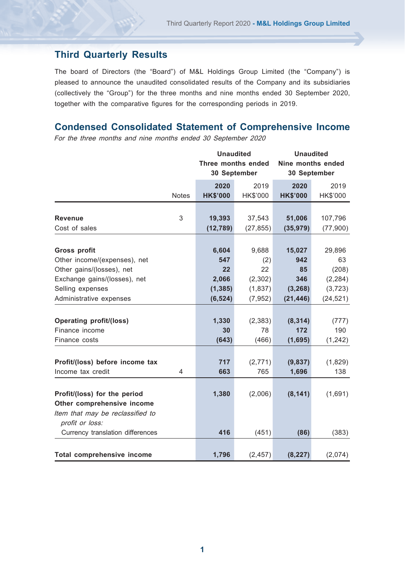# **Third Quarterly Results**

The board of Directors (the "Board") of M&L Holdings Group Limited (the "Company") is pleased to announce the unaudited consolidated results of the Company and its subsidiaries (collectively the "Group") for the three months and nine months ended 30 September 2020, together with the comparative figures for the corresponding periods in 2019.

# **Condensed Consolidated Statement of Comprehensive Income**

For the three months and nine months ended 30 September 2020

|                                  |              | <b>Unaudited</b>                   |                 | <b>Unaudited</b>                  |           |  |
|----------------------------------|--------------|------------------------------------|-----------------|-----------------------------------|-----------|--|
|                                  |              | Three months ended<br>30 September |                 | Nine months ended<br>30 September |           |  |
|                                  |              | 2020                               | 2019            | 2020                              | 2019      |  |
|                                  | <b>Notes</b> | <b>HK\$'000</b>                    | <b>HK\$'000</b> | <b>HK\$'000</b>                   | HK\$'000  |  |
|                                  |              |                                    |                 |                                   |           |  |
| Revenue                          | 3            | 19,393                             | 37,543          | 51,006                            | 107,796   |  |
| Cost of sales                    |              | (12, 789)                          | (27, 855)       | (35, 979)                         | (77,900)  |  |
|                                  |              |                                    |                 |                                   |           |  |
| Gross profit                     |              | 6,604                              | 9,688           | 15,027                            | 29,896    |  |
| Other income/(expenses), net     |              | 547                                | (2)             | 942                               | 63        |  |
| Other gains/(losses), net        |              | 22                                 | 22              | 85                                | (208)     |  |
| Exchange gains/(losses), net     |              | 2,066                              | (2, 302)        | 346                               | (2, 284)  |  |
| Selling expenses                 |              | (1, 385)                           | (1, 837)        | (3, 268)                          | (3,723)   |  |
| Administrative expenses          |              | (6, 524)                           | (7, 952)        | (21, 446)                         | (24, 521) |  |
|                                  |              |                                    |                 |                                   |           |  |
| Operating profit/(loss)          |              | 1,330                              | (2, 383)        | (8, 314)                          | (777)     |  |
| Finance income                   |              | 30                                 | 78              | 172                               | 190       |  |
| Finance costs                    |              | (643)                              | (466)           | (1,695)                           | (1,242)   |  |
|                                  |              |                                    |                 |                                   |           |  |
| Profit/(loss) before income tax  |              | 717                                | (2,771)         | (9,837)                           | (1,829)   |  |
| Income tax credit                | 4            | 663                                | 765             | 1,696                             | 138       |  |
| Profit/(loss) for the period     |              | 1,380                              | (2,006)         | (8, 141)                          | (1,691)   |  |
| Other comprehensive income       |              |                                    |                 |                                   |           |  |
| Item that may be reclassified to |              |                                    |                 |                                   |           |  |
| profit or loss:                  |              |                                    |                 |                                   |           |  |
| Currency translation differences |              | 416                                | (451)           | (86)                              | (383)     |  |
|                                  |              |                                    |                 |                                   |           |  |
| Total comprehensive income       |              | 1,796                              | (2, 457)        | (8, 227)                          | (2,074)   |  |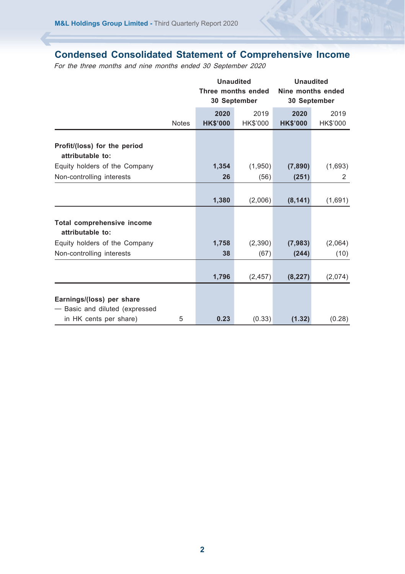# **Condensed Consolidated Statement of Comprehensive Income**

For the three months and nine months ended 30 September 2020

|                                                                                     |              | <b>Unaudited</b><br>Three months ended<br>30 September |                 | <b>Unaudited</b><br>Nine months ended<br>30 September |                 |
|-------------------------------------------------------------------------------------|--------------|--------------------------------------------------------|-----------------|-------------------------------------------------------|-----------------|
|                                                                                     |              | 2020                                                   | 2019            | 2020                                                  | 2019            |
|                                                                                     | <b>Notes</b> | <b>HK\$'000</b>                                        | <b>HK\$'000</b> | <b>HK\$'000</b>                                       | <b>HK\$'000</b> |
| Profit/(loss) for the period<br>attributable to:                                    |              |                                                        |                 |                                                       |                 |
| Equity holders of the Company                                                       |              | 1,354                                                  | (1,950)         | (7,890)                                               | (1,693)         |
| Non-controlling interests                                                           |              | 26                                                     | (56)            | (251)                                                 | 2               |
|                                                                                     |              | 1,380                                                  | (2,006)         | (8, 141)                                              | (1,691)         |
| Total comprehensive income<br>attributable to:                                      |              |                                                        |                 |                                                       |                 |
| Equity holders of the Company                                                       |              | 1,758                                                  | (2,390)         | (7,983)                                               | (2,064)         |
| Non-controlling interests                                                           |              | 38                                                     | (67)            | (244)                                                 | (10)            |
|                                                                                     |              | 1,796                                                  | (2, 457)        | (8, 227)                                              | (2,074)         |
| Earnings/(loss) per share<br>Basic and diluted (expressed<br>in HK cents per share) | 5            | 0.23                                                   | (0.33)          | (1.32)                                                | (0.28)          |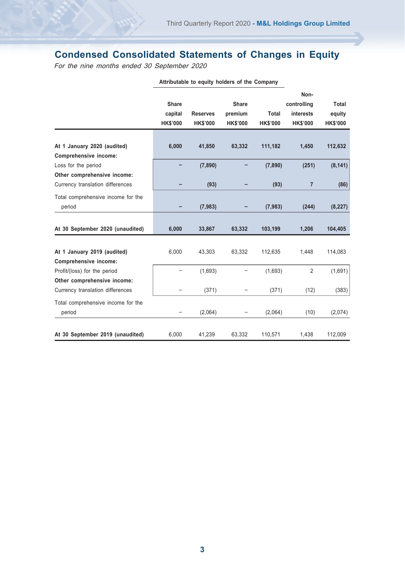# **Condensed Consolidated Statements of Changes in Equity**

For the nine months ended 30 September 2020

|                                    |                 |                 |                 |                 | Non-            |                 |
|------------------------------------|-----------------|-----------------|-----------------|-----------------|-----------------|-----------------|
|                                    | Share           |                 | Share           |                 | controlling     | <b>Total</b>    |
|                                    | capital         | <b>Reserves</b> | premium         | Total           | interests       | equity          |
|                                    | <b>HK\$'000</b> | <b>HK\$'000</b> | <b>HK\$'000</b> | <b>HK\$'000</b> | <b>HK\$'000</b> | <b>HK\$'000</b> |
|                                    |                 |                 |                 |                 |                 |                 |
| At 1 January 2020 (audited)        | 6,000           | 41,850          | 63,332          | 111,182         | 1,450           | 112,632         |
| Comprehensive income:              |                 |                 |                 |                 |                 |                 |
| Loss for the period                |                 | (7,890)         |                 | (7,890)         | (251)           | (8, 141)        |
| Other comprehensive income:        |                 |                 |                 |                 |                 |                 |
| Currency translation differences   |                 | (93)            |                 | (93)            | $\overline{7}$  | (86)            |
| Total comprehensive income for the |                 |                 |                 |                 |                 |                 |
| period                             |                 | (7,983)         |                 | (7,983)         | (244)           | (8, 227)        |
|                                    |                 |                 |                 |                 |                 |                 |
| At 30 September 2020 (unaudited)   | 6,000           | 33,867          | 63,332          | 103,199         | 1,206           | 104.405         |
|                                    |                 |                 |                 |                 |                 |                 |
| At 1 January 2019 (audited)        | 6,000           | 43,303          | 63,332          | 112,635         | 1,448           | 114,083         |
| Comprehensive income:              |                 |                 |                 |                 |                 |                 |
| Profit/(loss) for the period       |                 | (1,693)         |                 | (1,693)         | $\overline{2}$  | (1,691)         |
| Other comprehensive income:        |                 |                 |                 |                 |                 |                 |
| Currency translation differences   |                 | (371)           |                 | (371)           | (12)            | (383)           |
| Total comprehensive income for the |                 |                 |                 |                 |                 |                 |
| period                             |                 | (2,064)         |                 | (2,064)         | (10)            | (2,074)         |
|                                    |                 |                 |                 |                 |                 |                 |
| At 30 September 2019 (unaudited)   | 6,000           | 41,239          | 63,332          | 110,571         | 1,438           | 112,009         |

**Attributable to equity holders of the Company**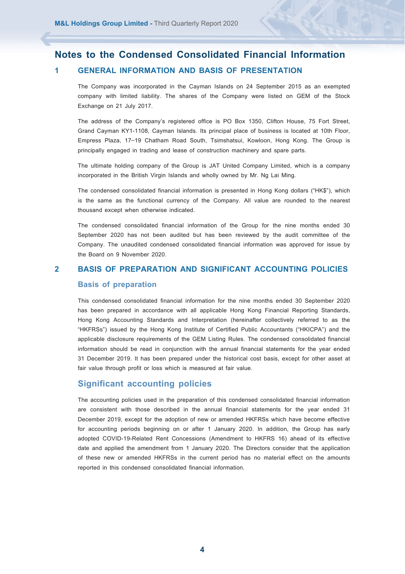# **Notes to the Condensed Consolidated Financial Information 1 GENERAL INFORMATION AND BASIS OF PRESENTATION**

The Company was incorporated in the Cayman Islands on 24 September 2015 as an exempted company with limited liability. The shares of the Company were listed on GEM of the Stock Exchange on 21 July 2017.

The address of the Company's registered office is PO Box 1350, Clifton House, 75 Fort Street, Grand Cayman KY1-1108, Cayman Islands. Its principal place of business is located at 10th Floor, Empress Plaza, 17–19 Chatham Road South, Tsimshatsui, Kowloon, Hong Kong. The Group is principally engaged in trading and lease of construction machinery and spare parts.

The ultimate holding company of the Group is JAT United Company Limited, which is a company incorporated in the British Virgin Islands and wholly owned by Mr. Ng Lai Ming.

The condensed consolidated financial information is presented in Hong Kong dollars ("HK\$"), which is the same as the functional currency of the Company. All value are rounded to the nearest thousand except when otherwise indicated.

The condensed consolidated financial information of the Group for the nine months ended 30 September 2020 has not been audited but has been reviewed by the audit committee of the Company. The unaudited condensed consolidated financial information was approved for issue by the Board on 9 November 2020.

# **2 BASIS OF PREPARATION AND SIGNIFICANT ACCOUNTING POLICIES Basis of preparation**

This condensed consolidated financial information for the nine months ended 30 September 2020 has been prepared in accordance with all applicable Hong Kong Financial Reporting Standards, Hong Kong Accounting Standards and Interpretation (hereinafter collectively referred to as the "HKFRSs") issued by the Hong Kong Institute of Certified Public Accountants ("HKICPA") and the applicable disclosure requirements of the GEM Listing Rules. The condensed consolidated financial information should be read in conjunction with the annual financial statements for the year ended 31 December 2019. It has been prepared under the historical cost basis, except for other asset at fair value through profit or loss which is measured at fair value.

#### **Significant accounting policies**

The accounting policies used in the preparation of this condensed consolidated financial information are consistent with those described in the annual financial statements for the year ended 31 December 2019, except for the adoption of new or amended HKFRSs which have become effective for accounting periods beginning on or after 1 January 2020. In addition, the Group has early adopted COVID-19-Related Rent Concessions (Amendment to HKFRS 16) ahead of its effective date and applied the amendment from 1 January 2020. The Directors consider that the application of these new or amended HKFRSs in the current period has no material effect on the amounts reported in this condensed consolidated financial information.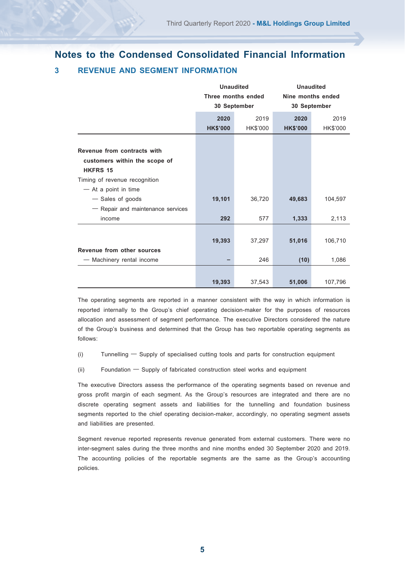# **Notes to the Condensed Consolidated Financial Information 3 REVENUE AND SEGMENT INFORMATION**

|                                   | <b>Unaudited</b><br>Three months ended<br>30 September |                 | <b>Unaudited</b><br>Nine months ended<br>30 September |                 |
|-----------------------------------|--------------------------------------------------------|-----------------|-------------------------------------------------------|-----------------|
|                                   | 2020                                                   | 2019            | 2020                                                  | 2019            |
|                                   | <b>HK\$'000</b>                                        | <b>HK\$'000</b> | <b>HK\$'000</b>                                       | <b>HK\$'000</b> |
|                                   |                                                        |                 |                                                       |                 |
| Revenue from contracts with       |                                                        |                 |                                                       |                 |
| customers within the scope of     |                                                        |                 |                                                       |                 |
| <b>HKFRS 15</b>                   |                                                        |                 |                                                       |                 |
| Timing of revenue recognition     |                                                        |                 |                                                       |                 |
| - At a point in time              |                                                        |                 |                                                       |                 |
| - Sales of goods                  | 19,101                                                 | 36,720          | 49,683                                                | 104,597         |
| - Repair and maintenance services |                                                        |                 |                                                       |                 |
| income                            | 292                                                    | 577             | 1,333                                                 | 2,113           |
|                                   |                                                        |                 |                                                       |                 |
|                                   | 19,393                                                 | 37,297          | 51,016                                                | 106,710         |
| Revenue from other sources        |                                                        |                 |                                                       |                 |
| - Machinery rental income         |                                                        | 246             | (10)                                                  | 1,086           |
|                                   |                                                        |                 |                                                       |                 |
|                                   | 19,393                                                 | 37.543          | 51,006                                                | 107.796         |

The operating segments are reported in a manner consistent with the way in which information is reported internally to the Group's chief operating decision-maker for the purposes of resources allocation and assessment of segment performance. The executive Directors considered the nature of the Group's business and determined that the Group has two reportable operating segments as follows:

- (i) Tunnelling Supply of specialised cutting tools and parts for construction equipment
- (ii) Foundation Supply of fabricated construction steel works and equipment

The executive Directors assess the performance of the operating segments based on revenue and gross profit margin of each segment. As the Group's resources are integrated and there are no discrete operating segment assets and liabilities for the tunnelling and foundation business segments reported to the chief operating decision-maker, accordingly, no operating segment assets and liabilities are presented.

Segment revenue reported represents revenue generated from external customers. There were no inter-segment sales during the three months and nine months ended 30 September 2020 and 2019. The accounting policies of the reportable segments are the same as the Group's accounting policies.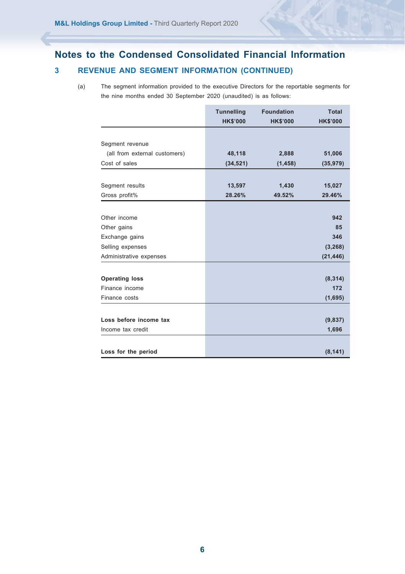# **Notes to the Condensed Consolidated Financial Information 3 REVENUE AND SEGMENT INFORMATION (CONTINUED)**

(a) The segment information provided to the executive Directors for the reportable segments for the nine months ended 30 September 2020 (unaudited) is as follows:

|                               | <b>Tunnelling</b><br><b>HK\$'000</b> | <b>Foundation</b><br><b>HK\$'000</b> | <b>Total</b><br><b>HK\$'000</b> |
|-------------------------------|--------------------------------------|--------------------------------------|---------------------------------|
|                               |                                      |                                      |                                 |
| Segment revenue               |                                      |                                      |                                 |
| (all from external customers) | 48,118                               | 2,888                                | 51,006                          |
| Cost of sales                 | (34, 521)                            | (1, 458)                             | (35,979)                        |
|                               |                                      |                                      |                                 |
|                               |                                      |                                      |                                 |
| Segment results               | 13,597                               | 1,430                                | 15,027                          |
| Gross profit%                 | 28.26%                               | 49.52%                               | 29.46%                          |
|                               |                                      |                                      |                                 |
| Other income                  |                                      |                                      | 942                             |
| Other gains                   |                                      |                                      | 85                              |
| Exchange gains                |                                      |                                      | 346                             |
| Selling expenses              |                                      |                                      | (3, 268)                        |
| Administrative expenses       |                                      |                                      | (21, 446)                       |
|                               |                                      |                                      |                                 |
| <b>Operating loss</b>         |                                      |                                      | (8, 314)                        |
| Finance income                |                                      |                                      | 172                             |
| Finance costs                 |                                      |                                      | (1,695)                         |
|                               |                                      |                                      |                                 |
| Loss before income tax        |                                      |                                      | (9,837)                         |
| Income tax credit             |                                      |                                      | 1,696                           |
|                               |                                      |                                      |                                 |
| Loss for the period           |                                      |                                      | (8, 141)                        |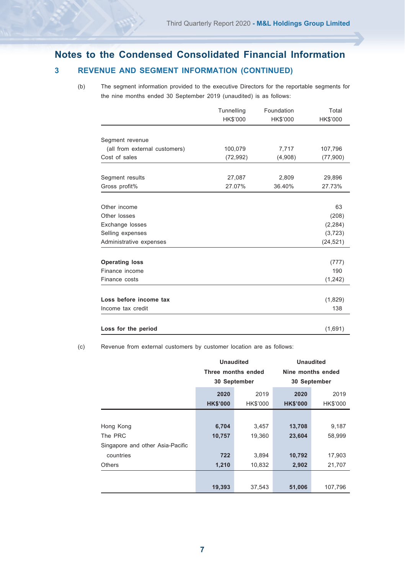# **Notes to the Condensed Consolidated Financial Information**

# **3 REVENUE AND SEGMENT INFORMATION (CONTINUED)**

(b) The segment information provided to the executive Directors for the reportable segments for the nine months ended 30 September 2019 (unaudited) is as follows:

|                               | Tunnelling<br>HK\$'000 | Foundation<br><b>HK\$'000</b> | Total<br>HK\$'000 |
|-------------------------------|------------------------|-------------------------------|-------------------|
|                               |                        |                               |                   |
| Segment revenue               |                        |                               |                   |
| (all from external customers) | 100,079                | 7,717                         | 107,796           |
| Cost of sales                 | (72,992)               | (4,908)                       | (77,900)          |
|                               |                        |                               |                   |
| Segment results               | 27,087                 | 2,809                         | 29,896            |
| Gross profit%                 | 27.07%                 | 36.40%                        | 27.73%            |
|                               |                        |                               |                   |
| Other income                  |                        |                               | 63                |
| Other losses                  |                        |                               | (208)             |
| Exchange losses               |                        |                               | (2, 284)          |
| Selling expenses              |                        |                               | (3, 723)          |
| Administrative expenses       |                        |                               | (24, 521)         |
| <b>Operating loss</b>         |                        |                               | (777)             |
| Finance income                |                        |                               | 190               |
| Finance costs                 |                        |                               |                   |
|                               |                        |                               | (1, 242)          |
| Loss before income tax        |                        |                               | (1,829)           |
| Income tax credit             |                        |                               | 138               |
|                               |                        |                               |                   |
| Loss for the period           |                        |                               | (1,691)           |

(c) Revenue from external customers by customer location are as follows:

|                                                         | <b>Unaudited</b><br>Three months ended<br>30 September |                 | <b>Unaudited</b><br>Nine months ended<br>30 September |                         |
|---------------------------------------------------------|--------------------------------------------------------|-----------------|-------------------------------------------------------|-------------------------|
|                                                         | 2019<br>2020<br><b>HK\$'000</b><br><b>HK\$'000</b>     |                 | 2020<br><b>HK\$'000</b>                               | 2019<br><b>HK\$'000</b> |
| Hong Kong<br>The PRC                                    | 6,704<br>10,757                                        | 3,457<br>19.360 | 13,708<br>23,604                                      | 9,187<br>58.999         |
| Singapore and other Asia-Pacific<br>countries<br>Others | 722<br>1,210                                           | 3.894<br>10,832 | 10,792<br>2,902                                       | 17,903<br>21.707        |
|                                                         | 19,393                                                 | 37,543          | 51,006                                                | 107,796                 |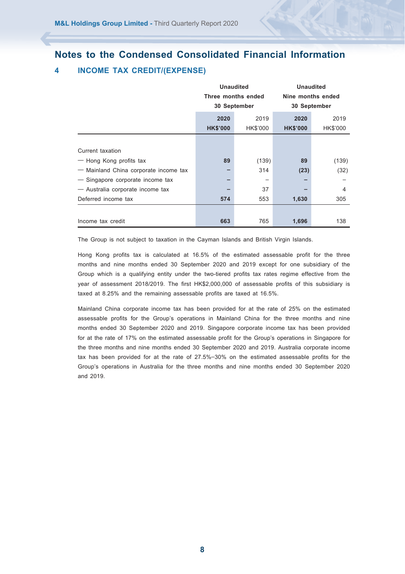# **Notes to the Condensed Consolidated Financial Information**

# **4 INCOME TAX CREDIT/(EXPENSE)**

|                                       | <b>Unaudited</b><br>Three months ended |              |                 | <b>Unaudited</b>  |
|---------------------------------------|----------------------------------------|--------------|-----------------|-------------------|
|                                       |                                        |              |                 | Nine months ended |
|                                       |                                        | 30 September |                 | 30 September      |
|                                       | 2020                                   | 2019         | 2020            | 2019              |
|                                       | <b>HK\$'000</b>                        | HK\$'000     | <b>HK\$'000</b> | HK\$'000          |
|                                       |                                        |              |                 |                   |
| Current taxation                      |                                        |              |                 |                   |
| - Hong Kong profits tax               | 89                                     | (139)        | 89              | (139)             |
| - Mainland China corporate income tax |                                        | 314          | (23)            | (32)              |
| - Singapore corporate income tax      |                                        | -            |                 |                   |
| - Australia corporate income tax      |                                        | 37           |                 | 4                 |
| Deferred income tax                   | 574                                    | 553          | 1,630           | 305               |
|                                       |                                        |              |                 |                   |
| Income tax credit                     | 663                                    | 765          | 1,696           | 138               |

The Group is not subject to taxation in the Cayman Islands and British Virgin Islands.

Hong Kong profits tax is calculated at 16.5% of the estimated assessable profit for the three months and nine months ended 30 September 2020 and 2019 except for one subsidiary of the Group which is a qualifying entity under the two-tiered profits tax rates regime effective from the year of assessment 2018/2019. The first HK\$2,000,000 of assessable profits of this subsidiary is taxed at 8.25% and the remaining assessable profits are taxed at 16.5%.

Mainland China corporate income tax has been provided for at the rate of 25% on the estimated assessable profits for the Group's operations in Mainland China for the three months and nine months ended 30 September 2020 and 2019. Singapore corporate income tax has been provided for at the rate of 17% on the estimated assessable profit for the Group's operations in Singapore for the three months and nine months ended 30 September 2020 and 2019. Australia corporate income tax has been provided for at the rate of 27.5%–30% on the estimated assessable profits for the Group's operations in Australia for the three months and nine months ended 30 September 2020 and 2019.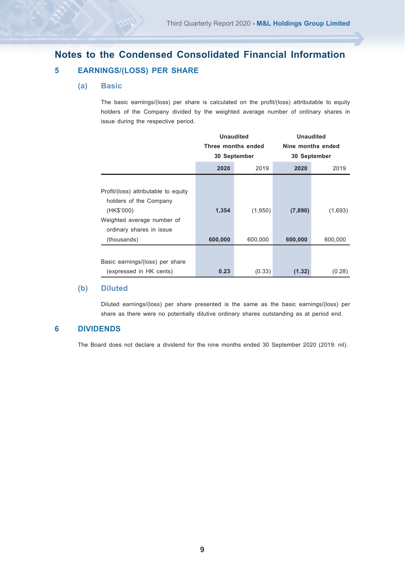# **Notes to the Condensed Consolidated Financial Information 5 EARNINGS/(LOSS) PER SHARE**

#### **(a) Basic**

The basic earnings/(loss) per share is calculated on the profit/(loss) attributable to equity holders of the Company divided by the weighted average number of ordinary shares in issue during the respective period.

|                                                                              | <b>Unaudited</b><br>Three months ended<br>30 September |         | Unaudited<br>Nine months ended<br>30 September |         |
|------------------------------------------------------------------------------|--------------------------------------------------------|---------|------------------------------------------------|---------|
|                                                                              | 2020                                                   | 2019    | 2020                                           | 2019    |
| Profit/(loss) attributable to equity<br>holders of the Company<br>(HK\$'000) | 1,354                                                  | (1,950) | (7,890)                                        | (1,693) |
| Weighted average number of<br>ordinary shares in issue<br>(thousands)        | 600,000                                                | 600,000 | 600,000                                        | 600,000 |
|                                                                              |                                                        |         |                                                |         |
| Basic earnings/(loss) per share<br>(expressed in HK cents)                   | 0.23                                                   | (0.33)  | (1.32)                                         | (0.28)  |

#### **(b) Diluted**

Diluted earnings/(loss) per share presented is the same as the basic earnings/(loss) per share as there were no potentially dilutive ordinary shares outstanding as at period end.

## **6 DIVIDENDS**

The Board does not declare a dividend for the nine months ended 30 September 2020 (2019: nil).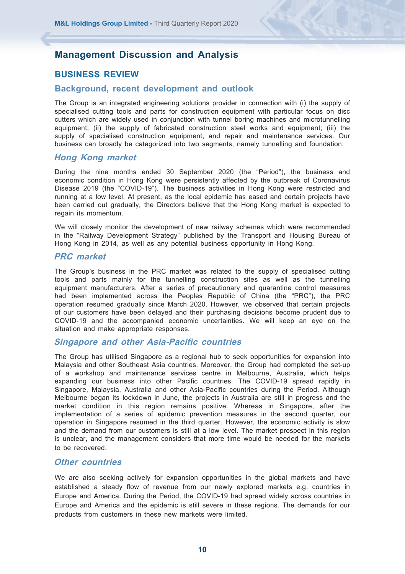## **BUSINESS REVIEW**

#### **Background, recent development and outlook**

The Group is an integrated engineering solutions provider in connection with (i) the supply of specialised cutting tools and parts for construction equipment with particular focus on disc cutters which are widely used in conjunction with tunnel boring machines and microtunnelling equipment; (ii) the supply of fabricated construction steel works and equipment; (iii) the supply of specialised construction equipment, and repair and maintenance services. Our business can broadly be categorized into two segments, namely tunnelling and foundation.

#### **Hong Kong market**

During the nine months ended 30 September 2020 (the "Period"), the business and economic condition in Hong Kong were persistently affected by the outbreak of Coronavirus Disease 2019 (the "COVID-19"). The business activities in Hong Kong were restricted and running at a low level. At present, as the local epidemic has eased and certain projects have been carried out gradually, the Directors believe that the Hong Kong market is expected to regain its momentum.

We will closely monitor the development of new railway schemes which were recommended in the "Railway Development Strategy" published by the Transport and Housing Bureau of Hong Kong in 2014, as well as any potential business opportunity in Hong Kong.

#### **PRC market**

The Group's business in the PRC market was related to the supply of specialised cutting tools and parts mainly for the tunnelling construction sites as well as the tunnelling equipment manufacturers. After a series of precautionary and quarantine control measures had been implemented across the Peoples Republic of China (the "PRC"), the PRC operation resumed gradually since March 2020. However, we observed that certain projects of our customers have been delayed and their purchasing decisions become prudent due to COVID-19 and the accompanied economic uncertainties. We will keep an eye on the situation and make appropriate responses.

#### **Singapore and other Asia-Pacific countries**

The Group has utilised Singapore as a regional hub to seek opportunities for expansion into Malaysia and other Southeast Asia countries. Moreover, the Group had completed the set-up of a workshop and maintenance services centre in Melbourne, Australia, which helps expanding our business into other Pacific countries. The COVID-19 spread rapidly in Singapore, Malaysia, Australia and other Asia-Pacific countries during the Period. Although Melbourne began its lockdown in June, the projects in Australia are still in progress and the market condition in this region remains positive. Whereas in Singapore, after the implementation of a series of epidemic prevention measures in the second quarter, our operation in Singapore resumed in the third quarter. However, the economic activity is slow and the demand from our customers is still at a low level. The market prospect in this region is unclear, and the management considers that more time would be needed for the markets to be recovered.

#### **Other countries**

We are also seeking actively for expansion opportunities in the global markets and have established a steady flow of revenue from our newly explored markets e.g. countries in Europe and America. During the Period, the COVID-19 had spread widely across countries in Europe and America and the epidemic is still severe in these regions. The demands for our products from customers in these new markets were limited.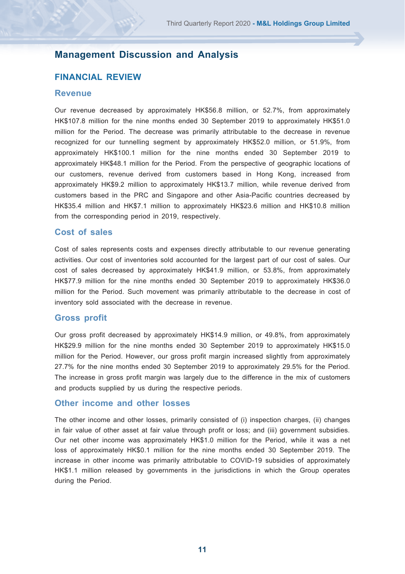#### **FINANCIAL REVIEW**

#### **Revenue**

Our revenue decreased by approximately HK\$56.8 million, or 52.7%, from approximately HK\$107.8 million for the nine months ended 30 September 2019 to approximately HK\$51.0 million for the Period. The decrease was primarily attributable to the decrease in revenue recognized for our tunnelling segment by approximately HK\$52.0 million, or 51.9%, from approximately HK\$100.1 million for the nine months ended 30 September 2019 to approximately HK\$48.1 million for the Period. From the perspective of geographic locations of our customers, revenue derived from customers based in Hong Kong, increased from approximately HK\$9.2 million to approximately HK\$13.7 million, while revenue derived from customers based in the PRC and Singapore and other Asia-Pacific countries decreased by HK\$35.4 million and HK\$7.1 million to approximately HK\$23.6 million and HK\$10.8 million from the corresponding period in 2019, respectively.

#### **Cost of sales**

Cost of sales represents costs and expenses directly attributable to our revenue generating activities. Our cost of inventories sold accounted for the largest part of our cost of sales. Our cost of sales decreased by approximately HK\$41.9 million, or 53.8%, from approximately HK\$77.9 million for the nine months ended 30 September 2019 to approximately HK\$36.0 million for the Period. Such movement was primarily attributable to the decrease in cost of inventory sold associated with the decrease in revenue.

#### **Gross profit**

Our gross profit decreased by approximately HK\$14.9 million, or 49.8%, from approximately HK\$29.9 million for the nine months ended 30 September 2019 to approximately HK\$15.0 million for the Period. However, our gross profit margin increased slightly from approximately 27.7% for the nine months ended 30 September 2019 to approximately 29.5% for the Period. The increase in gross profit margin was largely due to the difference in the mix of customers and products supplied by us during the respective periods.

#### **Other income and other losses**

The other income and other losses, primarily consisted of (i) inspection charges, (ii) changes in fair value of other asset at fair value through profit or loss; and (iii) government subsidies. Our net other income was approximately HK\$1.0 million for the Period, while it was a net loss of approximately HK\$0.1 million for the nine months ended 30 September 2019. The increase in other income was primarily attributable to COVID-19 subsidies of approximately HK\$1.1 million released by governments in the jurisdictions in which the Group operates during the Period.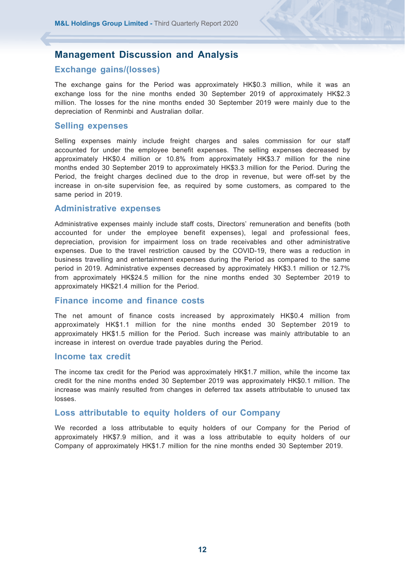#### **Exchange gains/(losses)**

The exchange gains for the Period was approximately HK\$0.3 million, while it was an exchange loss for the nine months ended 30 September 2019 of approximately HK\$2.3 million. The losses for the nine months ended 30 September 2019 were mainly due to the depreciation of Renminbi and Australian dollar.

#### **Selling expenses**

Selling expenses mainly include freight charges and sales commission for our staff accounted for under the employee benefit expenses. The selling expenses decreased by approximately HK\$0.4 million or 10.8% from approximately HK\$3.7 million for the nine months ended 30 September 2019 to approximately HK\$3.3 million for the Period. During the Period, the freight charges declined due to the drop in revenue, but were off-set by the increase in on-site supervision fee, as required by some customers, as compared to the same period in 2019.

#### **Administrative expenses**

Administrative expenses mainly include staff costs, Directors' remuneration and benefits (both accounted for under the employee benefit expenses), legal and professional fees, depreciation, provision for impairment loss on trade receivables and other administrative expenses. Due to the travel restriction caused by the COVID-19, there was a reduction in business travelling and entertainment expenses during the Period as compared to the same period in 2019. Administrative expenses decreased by approximately HK\$3.1 million or 12.7% from approximately HK\$24.5 million for the nine months ended 30 September 2019 to approximately HK\$21.4 million for the Period.

#### **Finance income and finance costs**

The net amount of finance costs increased by approximately HK\$0.4 million from approximately HK\$1.1 million for the nine months ended 30 September 2019 to approximately HK\$1.5 million for the Period. Such increase was mainly attributable to an increase in interest on overdue trade payables during the Period.

#### **Income tax credit**

The income tax credit for the Period was approximately HK\$1.7 million, while the income tax credit for the nine months ended 30 September 2019 was approximately HK\$0.1 million. The increase was mainly resulted from changes in deferred tax assets attributable to unused tax losses.

#### **Loss attributable to equity holders of our Company**

We recorded a loss attributable to equity holders of our Company for the Period of approximately HK\$7.9 million, and it was a loss attributable to equity holders of our Company of approximately HK\$1.7 million for the nine months ended 30 September 2019.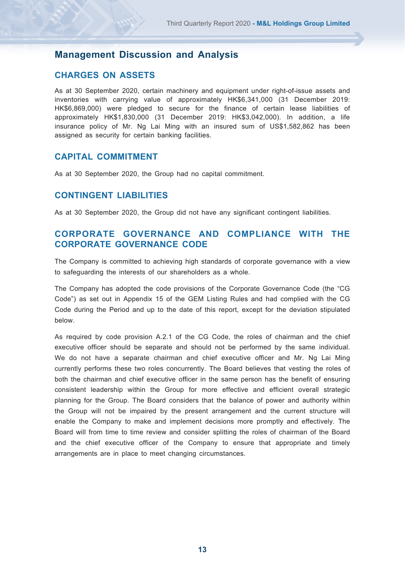#### **CHARGES ON ASSETS**

As at 30 September 2020, certain machinery and equipment under right-of-issue assets and inventories with carrying value of approximately HK\$6,341,000 (31 December 2019: HK\$6,869,000) were pledged to secure for the finance of certain lease liabilities of approximately HK\$1,830,000 (31 December 2019: HK\$3,042,000). In addition, a life insurance policy of Mr. Ng Lai Ming with an insured sum of US\$1,582,862 has been assigned as security for certain banking facilities.

## **CAPITAL COMMITMENT**

As at 30 September 2020, the Group had no capital commitment.

## **CONTINGENT LIABILITIES**

As at 30 September 2020, the Group did not have any significant contingent liabilities.

## **CORPORATE GOVERNANCE AND COMPLIANCE WITH THE CORPORATE GOVERNANCE CODE**

The Company is committed to achieving high standards of corporate governance with a view to safeguarding the interests of our shareholders as a whole.

The Company has adopted the code provisions of the Corporate Governance Code (the "CG Code") as set out in Appendix 15 of the GEM Listing Rules and had complied with the CG Code during the Period and up to the date of this report, except for the deviation stipulated below.

As required by code provision A.2.1 of the CG Code, the roles of chairman and the chief executive officer should be separate and should not be performed by the same individual. We do not have a separate chairman and chief executive officer and Mr. Ng Lai Ming currently performs these two roles concurrently. The Board believes that vesting the roles of both the chairman and chief executive officer in the same person has the benefit of ensuring consistent leadership within the Group for more effective and efficient overall strategic planning for the Group. The Board considers that the balance of power and authority within the Group will not be impaired by the present arrangement and the current structure will enable the Company to make and implement decisions more promptly and effectively. The Board will from time to time review and consider splitting the roles of chairman of the Board and the chief executive officer of the Company to ensure that appropriate and timely arrangements are in place to meet changing circumstances.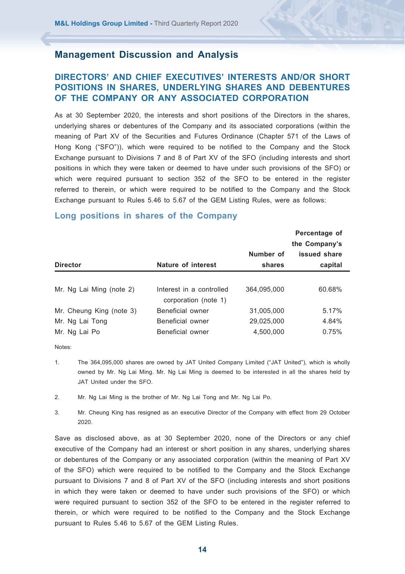# **DIRECTORS' AND CHIEF EXECUTIVES' INTERESTS AND/OR SHORT POSITIONS IN SHARES, UNDERLYING SHARES AND DEBENTURES OF THE COMPANY OR ANY ASSOCIATED CORPORATION**

As at 30 September 2020, the interests and short positions of the Directors in the shares, underlying shares or debentures of the Company and its associated corporations (within the meaning of Part XV of the Securities and Futures Ordinance (Chapter 571 of the Laws of Hong Kong ("SFO")), which were required to be notified to the Company and the Stock Exchange pursuant to Divisions 7 and 8 of Part XV of the SFO (including interests and short positions in which they were taken or deemed to have under such provisions of the SFO) or which were required pursuant to section 352 of the SFO to be entered in the register referred to therein, or which were required to be notified to the Company and the Stock Exchange pursuant to Rules 5.46 to 5.67 of the GEM Listing Rules, were as follows:

|                          |                                                  |             | Percentage of |
|--------------------------|--------------------------------------------------|-------------|---------------|
|                          |                                                  |             | the Company's |
|                          |                                                  | Number of   | issued share  |
| <b>Director</b>          | Nature of interest                               | shares      | capital       |
|                          |                                                  |             |               |
| Mr. Ng Lai Ming (note 2) | Interest in a controlled<br>corporation (note 1) | 364.095.000 | 60.68%        |
| Mr. Cheung King (note 3) | Beneficial owner                                 | 31,005,000  | 5.17%         |
| Mr. Ng Lai Tong          | Beneficial owner                                 | 29,025,000  | 4.84%         |
| Mr. Ng Lai Po            | Beneficial owner                                 | 4,500,000   | 0.75%         |

#### **Long positions in shares of the Company**

Notes:

- 1. The 364,095,000 shares are owned by JAT United Company Limited ("JAT United"), which is wholly owned by Mr. Ng Lai Ming. Mr. Ng Lai Ming is deemed to be interested in all the shares held by JAT United under the SFO.
- 2. Mr. Ng Lai Ming is the brother of Mr. Ng Lai Tong and Mr. Ng Lai Po.
- 3. Mr. Cheung King has resigned as an executive Director of the Company with effect from 29 October 2020.

Save as disclosed above, as at 30 September 2020, none of the Directors or any chief executive of the Company had an interest or short position in any shares, underlying shares or debentures of the Company or any associated corporation (within the meaning of Part XV of the SFO) which were required to be notified to the Company and the Stock Exchange pursuant to Divisions 7 and 8 of Part XV of the SFO (including interests and short positions in which they were taken or deemed to have under such provisions of the SFO) or which were required pursuant to section 352 of the SFO to be entered in the register referred to therein, or which were required to be notified to the Company and the Stock Exchange pursuant to Rules 5.46 to 5.67 of the GEM Listing Rules.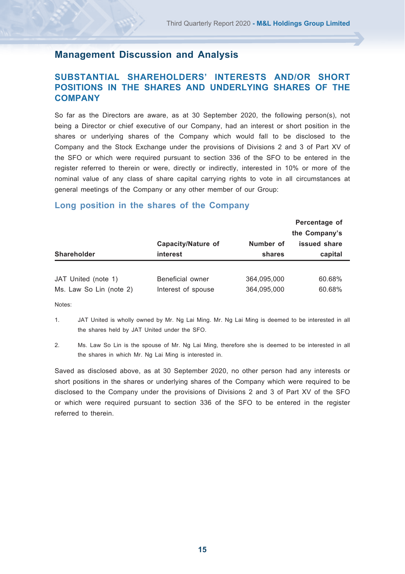## **SUBSTANTIAL SHAREHOLDERS' INTERESTS AND/OR SHORT POSITIONS IN THE SHARES AND UNDERLYING SHARES OF THE COMPANY**

So far as the Directors are aware, as at 30 September 2020, the following person(s), not being a Director or chief executive of our Company, had an interest or short position in the shares or underlying shares of the Company which would fall to be disclosed to the Company and the Stock Exchange under the provisions of Divisions 2 and 3 of Part XV of the SFO or which were required pursuant to section 336 of the SFO to be entered in the register referred to therein or were, directly or indirectly, interested in 10% or more of the nominal value of any class of share capital carrying rights to vote in all circumstances at general meetings of the Company or any other member of our Group:

#### **Long position in the shares of the Company**

|                         | Capacity/Nature of | Number of   | Percentage of<br>the Company's<br>issued share |
|-------------------------|--------------------|-------------|------------------------------------------------|
| Shareholder             | interest           | shares      | capital                                        |
| JAT United (note 1)     | Beneficial owner   | 364.095.000 | 60.68%                                         |
| Ms. Law So Lin (note 2) | Interest of spouse | 364,095,000 | 60.68%                                         |

Notes:

- 1. JAT United is wholly owned by Mr. Ng Lai Ming. Mr. Ng Lai Ming is deemed to be interested in all the shares held by JAT United under the SFO.
- 2. Ms. Law So Lin is the spouse of Mr. Ng Lai Ming, therefore she is deemed to be interested in all the shares in which Mr. Ng Lai Ming is interested in.

Saved as disclosed above, as at 30 September 2020, no other person had any interests or short positions in the shares or underlying shares of the Company which were required to be disclosed to the Company under the provisions of Divisions 2 and 3 of Part XV of the SFO or which were required pursuant to section 336 of the SFO to be entered in the register referred to therein.